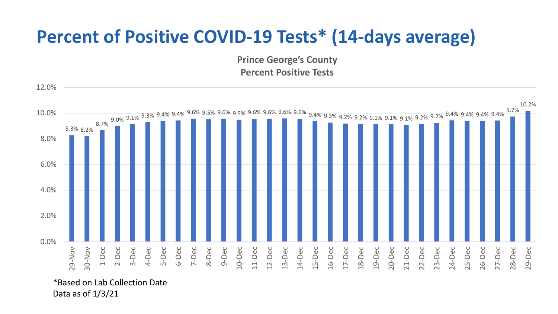## **Percent of Positive COVID-19 Tests\* (14-days average)**

**Prince George's County Percent Positive Tests**



\*Based on Lab Collection Date Data as of 1/3/21

12.0%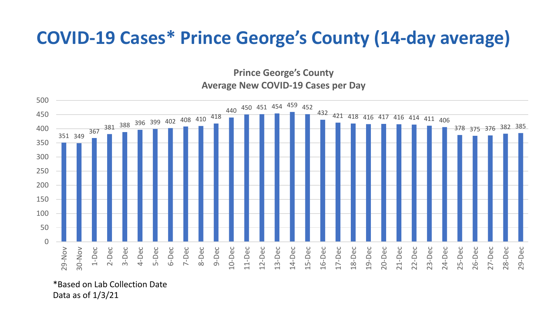## **COVID-19 Cases\* Prince George's County (14-day average)**

**Prince George's County Average New COVID-19 Cases per Day**



\*Based on Lab Collection Date Data as of 1/3/21